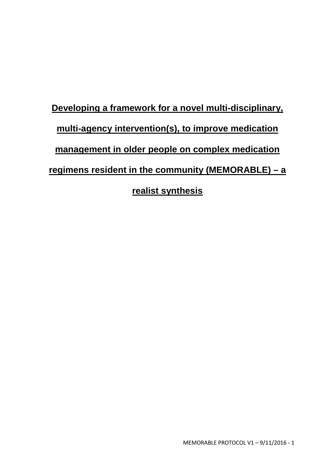# **Developing a framework for a novel multi-disciplinary, multi-agency intervention(s), to improve medication management in older people on complex medication regimens resident in the community (MEMORABLE) – a realist synthesis**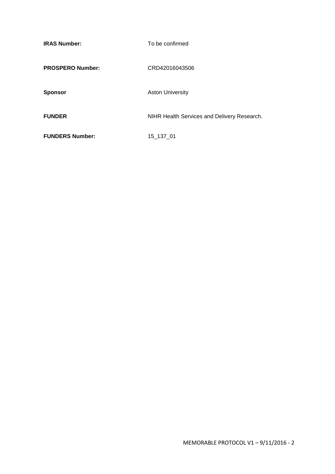| <b>IRAS Number:</b>     | To be confirmed                             |
|-------------------------|---------------------------------------------|
| <b>PROSPERO Number:</b> | CRD42016043506                              |
| <b>Sponsor</b>          | <b>Aston University</b>                     |
| <b>FUNDER</b>           | NIHR Health Services and Delivery Research. |
| <b>FUNDERS Number:</b>  | 15 137 01                                   |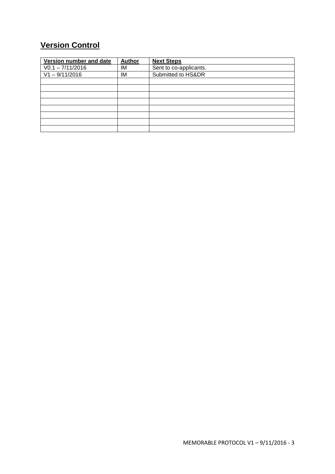# **Version Control**

| Version number and date | <b>Author</b> | <b>Next Steps</b>      |
|-------------------------|---------------|------------------------|
| $V0.1 - 7/11/2016$      | IM            | Sent to co-applicants. |
| $V1 - 9/11/2016$        | IM            | Submitted to HS&DR     |
|                         |               |                        |
|                         |               |                        |
|                         |               |                        |
|                         |               |                        |
|                         |               |                        |
|                         |               |                        |
|                         |               |                        |
|                         |               |                        |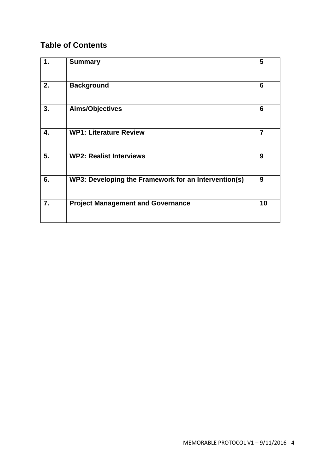## **Table of Contents**

| 1. | <b>Summary</b>                                       | 5              |
|----|------------------------------------------------------|----------------|
| 2. | <b>Background</b>                                    | 6              |
| 3. | Aims/Objectives                                      | 6              |
| 4. | <b>WP1: Literature Review</b>                        | $\overline{7}$ |
| 5. | <b>WP2: Realist Interviews</b>                       | 9              |
| 6. | WP3: Developing the Framework for an Intervention(s) | 9              |
| 7. | <b>Project Management and Governance</b>             | 10             |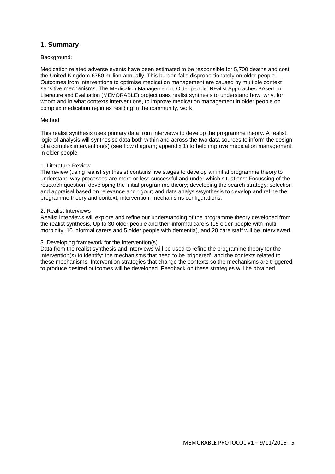## **1. Summary**

## Background:

Medication related adverse events have been estimated to be responsible for 5,700 deaths and cost the United Kingdom £750 million annually. This burden falls disproportionately on older people. Outcomes from interventions to optimise medication management are caused by multiple context sensitive mechanisms. The MEdication Management in Older people: REalist Approaches BAsed on Literature and Evaluation (MEMORABLE) project uses realist synthesis to understand how, why, for whom and in what contexts interventions, to improve medication management in older people on complex medication regimes residing in the community, work.

#### Method

This realist synthesis uses primary data from interviews to develop the programme theory. A realist logic of analysis will synthesise data both within and across the two data sources to inform the design of a complex intervention(s) (see flow diagram; appendix 1) to help improve medication management in older people.

#### 1. Literature Review

The review (using realist synthesis) contains five stages to develop an initial programme theory to understand why processes are more or less successful and under which situations: Focussing of the research question; developing the initial programme theory; developing the search strategy; selection and appraisal based on relevance and rigour; and data analysis/synthesis to develop and refine the programme theory and context, intervention, mechanisms configurations.

#### 2. Realist Interviews

Realist interviews will explore and refine our understanding of the programme theory developed from the realist synthesis. Up to 30 older people and their informal carers (15 older people with multimorbidity, 10 informal carers and 5 older people with dementia), and 20 care staff will be interviewed.

#### 3. Developing framework for the Intervention(s)

Data from the realist synthesis and interviews will be used to refine the programme theory for the intervention(s) to identify: the mechanisms that need to be 'triggered', and the contexts related to these mechanisms. Intervention strategies that change the contexts so the mechanisms are triggered to produce desired outcomes will be developed. Feedback on these strategies will be obtained.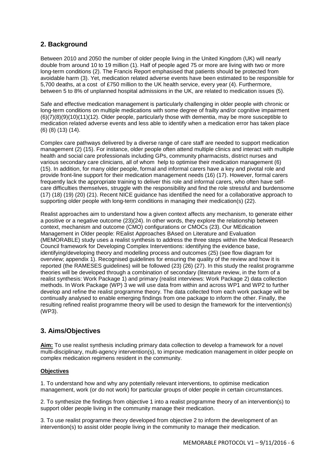## **2. Background**

Between 2010 and 2050 the number of older people living in the United Kingdom (UK) will nearly double from around 10 to 19 million (1). Half of people aged 75 or more are living with two or more long-term conditions (2). The Francis Report emphasised that patients should be protected from avoidable harm (3). Yet, medication related adverse events have been estimated to be responsible for 5,700 deaths, at a cost of £750 million to the UK health service, every year (4). Furthermore, between 5 to 8% of unplanned hospital admissions in the UK, are related to medication issues (5).

Safe and effective medication management is particularly challenging in older people with chronic or long-term conditions on multiple medications with some degree of frailty and/or cognitive impairment (6)(7)(8)(9)(10)(11)(12). Older people, particularly those with dementia, may be more susceptible to medication related adverse events and less able to identify when a medication error has taken place (6) (8) (13) (14).

Complex care pathways delivered by a diverse range of care staff are needed to support medication management (2) (15). For instance, older people often attend multiple clinics and interact with multiple health and social care professionals including GPs, community pharmacists, district nurses and various secondary care clinicians, all of whom help to optimise their medication management (6) (15). In addition, for many older people, formal and informal carers have a key and pivotal role and provide front-line support for their medication management needs (16) (17). However, formal carers frequently lack the appropriate training to deliver this role and informal carers, who often have selfcare difficulties themselves, struggle with the responsibility and find the role stressful and burdensome (17) (18) (19) (20) (21). Recent NICE guidance has identified the need for a collaborative approach to supporting older people with long-term conditions in managing their medication(s) (22).

Realist approaches aim to understand how a given context affects any mechanism, to generate either a positive or a negative outcome (23)(24). In other words, they explore the relationship between context, mechanism and outcome (CMO) configurations or CMOCs (23). Our MEdication Management in Older people: REalist Approaches BAsed on Literature and Evaluation (MEMORABLE) study uses a realist synthesis to address the three steps within the Medical Research Council framework for Developing Complex Interventions: identifying the evidence base, identifying/developing theory and modelling process and outcomes (25) (see flow diagram for overview; appendix 1). Recognised guidelines for ensuring the quality of the review and how it is reported (the RAMESES guidelines) will be followed (23) (26) (27). In this study the realist programme theories will be developed through a combination of secondary (literature review, in the form of a realist synthesis: Work Package 1) and primary (realist interviews: Work Package 2) data collection methods. In Work Package (WP) 3 we will use data from within and across WP1 and WP2 to further develop and refine the realist programme theory. The data collected from each work package will be continually analysed to enable emerging findings from one package to inform the other. Finally, the resulting refined realist programme theory will be used to design the framework for the intervention(s) (WP3).

## **3. Aims/Objectives**

**Aim:** To use realist synthesis including primary data collection to develop a framework for a novel multi-disciplinary, multi-agency intervention(s), to improve medication management in older people on complex medication regimens resident in the community.

## **Objectives**

1. To understand how and why any potentially relevant interventions, to optimise medication management, work (or do not work) for particular groups of older people in certain circumstances.

2. To synthesize the findings from objective 1 into a realist programme theory of an intervention(s) to support older people living in the community manage their medication.

3. To use realist programme theory developed from objective 2 to inform the development of an intervention(s) to assist older people living in the community to manage their medication.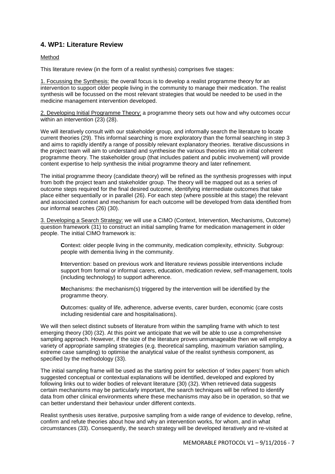## **4. WP1: Literature Review**

## Method

This literature review (in the form of a realist synthesis) comprises five stages:

1. Focussing the Synthesis: the overall focus is to develop a realist programme theory for an intervention to support older people living in the community to manage their medication. The realist synthesis will be focussed on the most relevant strategies that would be needed to be used in the medicine management intervention developed.

2. Developing Initial Programme Theory: a programme theory sets out how and why outcomes occur within an intervention (23) (28).

We will iteratively consult with our stakeholder group, and informally search the literature to locate current theories (29). This informal searching is more exploratory than the formal searching in step 3 and aims to rapidly identify a range of possibly relevant explanatory theories. Iterative discussions in the project team will aim to understand and synthesise the various theories into an initial coherent programme theory. The stakeholder group (that includes patient and public involvement) will provide content expertise to help synthesis the initial programme theory and later refinement.

The initial programme theory (candidate theory) will be refined as the synthesis progresses with input from both the project team and stakeholder group. The theory will be mapped out as a series of outcome steps required for the final desired outcome, identifying intermediate outcomes that take place either sequentially or in parallel (26). For each step (where possible at this stage) the relevant and associated context and mechanism for each outcome will be developed from data identified from our informal searches (26) (30).

3. Developing a Search Strategy: we will use a CIMO (Context, Intervention, Mechanisms, Outcome) question framework (31) to construct an initial sampling frame for medication management in older people. The initial CIMO framework is:

**C**ontext: older people living in the community, medication complexity, ethnicity. Subgroup: people with dementia living in the community.

**I**ntervention: based on previous work and literature reviews possible interventions include support from formal or informal carers, education, medication review, self-management, tools (including technology) to support adherence.

**M**echanisms: the mechanism(s) triggered by the intervention will be identified by the programme theory.

**O**utcomes: quality of life, adherence, adverse events, carer burden, economic (care costs including residential care and hospitalisations).

We will then select distinct subsets of literature from within the sampling frame with which to test emerging theory (30) (32). At this point we anticipate that we will be able to use a comprehensive sampling approach. However, if the size of the literature proves unmanageable then we will employ a variety of appropriate sampling strategies (e.g. theoretical sampling, maximum variation sampling, extreme case sampling) to optimise the analytical value of the realist synthesis component, as specified by the methodology (33).

The initial sampling frame will be used as the starting point for selection of 'index papers' from which suggested conceptual or contextual explanations will be identified, developed and explored by following links out to wider bodies of relevant literature (30) (32). When retrieved data suggests certain mechanisms may be particularly important, the search techniques will be refined to identify data from other clinical environments where these mechanisms may also be in operation, so that we can better understand their behaviour under different contexts.

Realist synthesis uses iterative, purposive sampling from a wide range of evidence to develop, refine, confirm and refute theories about how and why an intervention works, for whom, and in what circumstances (33). Consequently, the search strategy will be developed iteratively and re-visited at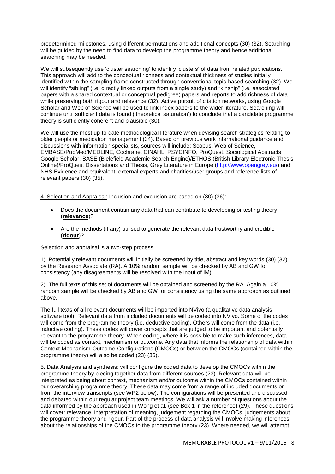predetermined milestones, using different permutations and additional concepts (30) (32). Searching will be guided by the need to find data to develop the programme theory and hence additional searching may be needed.

We will subsequently use 'cluster searching' to identify 'clusters' of data from related publications. This approach will add to the conceptual richness and contextual thickness of studies initially identified within the sampling frame constructed through conventional topic-based searching (32). We will identify "sibling" (i.e. directly linked outputs from a single study) and "kinship" (i.e. associated papers with a shared contextual or conceptual pedigree) papers and reports to add richness of data while preserving both rigour and relevance (32). Active pursuit of citation networks, using Google Scholar and Web of Science will be used to link index papers to the wider literature. Searching will continue until sufficient data is found ('theoretical saturation') to conclude that a candidate programme theory is sufficiently coherent and plausible (30).

We will use the most up-to-date methodological literature when devising search strategies relating to older people or medication management (34). Based on previous work international guidance and discussions with information specialists, sources will include: Scopus, Web of Science, EMBASE/PubMed/MEDLINE, Cochrane, CINAHL, PSYCINFO, ProQuest, Sociological Abstracts, Google Scholar, BASE (Bielefield Academic Search Engine)/ETHOS (British Library Electronic Thesis Online)/ProQuest Dissertations and Thesis, Grey Literature in Europe [\(http://www.opengrey.eu/\)](http://www.opengrey.eu/) and NHS Evidence and equivalent, external experts and charities/user groups and reference lists of relevant papers (30) (35).

4. Selection and Appraisal: Inclusion and exclusion are based on (30) (36):

- Does the document contain any data that can contribute to developing or testing theory (**relevance**)?
- Are the methods (if any) utilised to generate the relevant data trustworthy and credible (**rigour**)?

Selection and appraisal is a two-step process:

1). Potentially relevant documents will initially be screened by title, abstract and key words (30) (32) by the Research Associate (RA). A 10% random sample will be checked by AB and GW for consistency (any disagreements will be resolved with the input of IM);

2). The full texts of this set of documents will be obtained and screened by the RA. Again a 10% random sample will be checked by AB and GW for consistency using the same approach as outlined above.

The full texts of all relevant documents will be imported into NVivo (a qualitative data analysis software tool). Relevant data from included documents will be coded into NVivo. Some of the codes will come from the programme theory (i.e. deductive coding). Others will come from the data (i.e. inductive coding). These codes will cover concepts that are judged to be important and potentially relevant to the programme theory. When coding, where it is possible to make such inferences, data will be coded as context, mechanism or outcome. Any data that informs the relationship of data within Context-Mechanism-Outcome-Configurations (CMOCs) or between the CMOCs (contained within the programme theory) will also be coded (23) (36).

5. Data Analysis and synthesis: will configure the coded data to develop the CMOCs within the programme theory by piecing together data from different sources (23). Relevant data will be interpreted as being about context, mechanism and/or outcome within the CMOCs contained within our overarching programme theory. These data may come from a range of included documents or from the interview transcripts (see WP2 below). The configurations will be presented and discussed and debated within our regular project team meetings. We will ask a number of questions about the data informed by the approach used in Wong et al. (see Box 1 in the reference) (29). These questions will cover: relevance, interpretation of meaning, judgement regarding the CMOCs, judgements about the programme theory and rigour. Part of the process of data analysis will involve making inferences about the relationships of the CMOCs to the programme theory (23). Where needed, we will attempt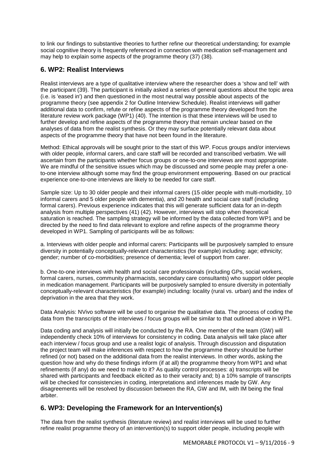to link our findings to substantive theories to further refine our theoretical understanding; for example social cognitive theory is frequently referenced in connection with medication self-management and may help to explain some aspects of the programme theory (37) (38)*.* 

## **6. WP2: Realist Interviews**

Realist interviews are a type of qualitative interview where the researcher does a 'show and tell' with the participant (39). The participant is initially asked a series of general questions about the topic area (i.e. is 'eased in') and then questioned in the most neutral way possible about aspects of the programme theory (see appendix 2 for Outline Interview Schedule). Realist interviews will gather additional data to confirm, refute or refine aspects of the programme theory developed from the literature review work package (WP1) (40). The intention is that these interviews will be used to further develop and refine aspects of the programme theory that remain unclear based on the analyses of data from the realist synthesis. Or they may surface potentially relevant data about aspects of the programme theory that have not been found in the literature.

Method: Ethical approvals will be sought prior to the start of this WP. Focus groups and/or interviews with older people, informal carers, and care staff will be recorded and transcribed verbatim. We will ascertain from the participants whether focus groups or one-to-one interviews are most appropriate. We are mindful of the sensitive issues which may be discussed and some people may prefer a oneto-one interview although some may find the group environment empowering. Based on our practical experience one-to-one interviews are likely to be needed for care staff.

Sample size: Up to 30 older people and their informal carers (15 older people with multi-morbidity, 10 informal carers and 5 older people with dementia), and 20 health and social care staff (including formal carers). Previous experience indicates that this will generate sufficient data for an in-depth analysis from multiple perspectives (41) (42). However, interviews will stop when theoretical saturation is reached. The sampling strategy will be informed by the data collected from WP1 and be directed by the need to find data relevant to explore and refine aspects of the programme theory developed in WP1. Sampling of participants will be as follows:

a. Interviews with older people and informal carers: Participants will be purposively sampled to ensure diversity in potentially conceptually-relevant characteristics (for example) including: age; ethnicity; gender; number of co-morbidities; presence of dementia; level of support from carer.

b. One-to-one interviews with health and social care professionals (including GPs, social workers, formal carers, nurses, community pharmacists, secondary care consultants) who support older people in medication management. Participants will be purposively sampled to ensure diversity in potentially conceptually-relevant characteristics (for example) including: locality (rural vs. urban) and the index of deprivation in the area that they work.

Data Analysis: NVivo software will be used to organise the qualitative data. The process of coding the data from the transcripts of the interviews / focus groups will be similar to that outlined above in WP1.

Data coding and analysis will initially be conducted by the RA. One member of the team (GW) will independently check 10% of interviews for consistency in coding. Data analysis will take place after each interview / focus group and use a realist logic of analysis. Through discussion and disputation the project team will make inferences with respect to how the programme theory should be further refined (or not) based on the additional data from the realist interviews. In other words, asking the question how and why do these findings inform (if at all) the programme theory from WP1 and what refinements (if any) do we need to make to it? As quality control processes: a) transcripts will be shared with participants and feedback elicited as to their veracity and; b) a 10% sample of transcripts will be checked for consistencies in coding, interpretations and inferences made by GW. Any disagreements will be resolved by discussion between the RA, GW and IM, with IM being the final arbiter.

## **6. WP3: Developing the Framework for an Intervention(s)**

The data from the realist synthesis (literature review) and realist interviews will be used to further refine realist programme theory of an intervention(s) to support older people, including people with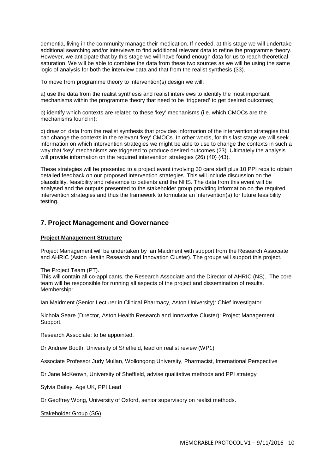dementia, living in the community manage their medication. If needed, at this stage we will undertake additional searching and/or interviews to find additional relevant data to refine the programme theory. However, we anticipate that by this stage we will have found enough data for us to reach theoretical saturation. We will be able to combine the data from these two sources as we will be using the same logic of analysis for both the interview data and that from the realist synthesis (33).

To move from programme theory to intervention(s) design we will:

a) use the data from the realist synthesis and realist interviews to identify the most important mechanisms within the programme theory that need to be 'triggered' to get desired outcomes;

b) identify which contexts are related to these 'key' mechanisms (i.e. which CMOCs are the mechanisms found in);

c) draw on data from the realist synthesis that provides information of the intervention strategies that can change the contexts in the relevant 'key' CMOCs. In other words, for this last stage we will seek information on which intervention strategies we might be able to use to change the contexts in such a way that 'key' mechanisms are triggered to produce desired outcomes (23). Ultimately the analysis will provide information on the required intervention strategies (26) (40) (43).

These strategies will be presented to a project event involving 30 care staff plus 10 PPI reps to obtain detailed feedback on our proposed intervention strategies. This will include discussion on the plausibility, feasibility and relevance to patients and the NHS. The data from this event will be analysed and the outputs presented to the stakeholder group providing information on the required intervention strategies and thus the framework to formulate an intervention(s) for future feasibility testing.

## **7. Project Management and Governance**

### **Project Management Structure**

Project Management will be undertaken by Ian Maidment with support from the Research Associate and AHRIC (Aston Health Research and Innovation Cluster). The groups will support this project.

#### The Project Team (PT).

This will contain all co-applicants, the Research Associate and the Director of AHRIC (NS). The core team will be responsible for running all aspects of the project and dissemination of results. Membership:

Ian Maidment (Senior Lecturer in Clinical Pharmacy, Aston University): Chief Investigator.

Nichola Seare (Director, Aston Health Research and Innovative Cluster): Project Management Support.

Research Associate: to be appointed.

Dr Andrew Booth, University of Sheffield, lead on realist review (WP1)

Associate Professor Judy Mullan, Wollongong University, Pharmacist, International Perspective

Dr Jane McKeown, University of Sheffield, advise qualitative methods and PPI strategy

Sylvia Bailey, Age UK, PPI Lead

Dr Geoffrey Wong, University of Oxford, senior supervisory on realist methods.

Stakeholder Group (SG)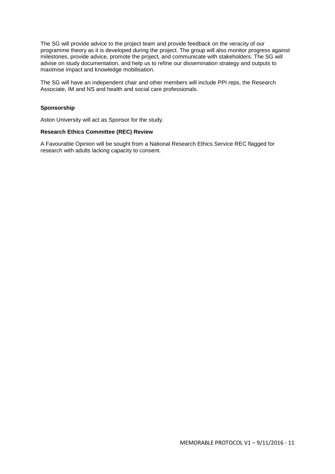The SG will provide advice to the project team and provide feedback on the veracity of our programme theory as it is developed during the project. The group will also monitor progress against milestones, provide advice, promote the project, and communicate with stakeholders. The SG will advise on study documentation, and help us to refine our dissemination strategy and outputs to maximise impact and knowledge mobilisation.

The SG will have an independent chair and other members will include PPI reps, the Research Associate, IM and NS and health and social care professionals.

## **Sponsorship**

Aston University will act as Sponsor for the study.

#### **Research Ethics Committee (REC) Review**

A Favourable Opinion will be sought from a National Research Ethics Service REC flagged for research with adults lacking capacity to consent.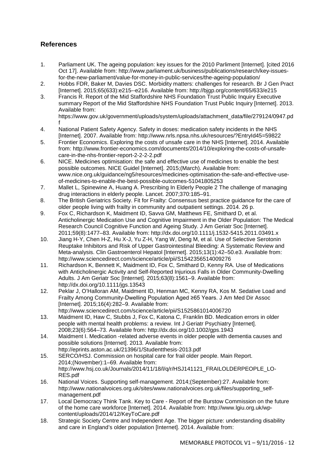## **References**

- 1. Parliament UK. The ageing population: key issues for the 2010 Parliment [Internet]. [cited 2016 Oct 17]. Available from: http://www.parliament.uk/business/publications/research/key-issuesfor-the-new-parliament/value-for-money-in-public-services/the-ageing-population/
- 2. Hobbs FDR, Baker M, Davies DSC. Morbidity matters: challenges for research. Br J Gen Pract [Internet]. 2015;65(633):e215--e216. Available from: http://bjgp.org/content/65/633/e215
- 3. Francis R. Report of the Mid Staffordshire NHS Foundation Trust Public Inquiry Executive summary Report of the Mid Staffordshire NHS Foundation Trust Public Inquiry [Internet]. 2013. Available from: https://www.gov.uk/government/uploads/system/uploads/attachment\_data/file/279124/0947.pd
- f 4. National Patient Safety Agency. Safety in doses: medication safety incidents in the NHS [Internet]. 2007. Available from: http://www.nrls.npsa.nhs.uk/resources/?EntryId45=59822
- 5. Frontier Economics. Exploring the costs of unsafe care in the NHS [Internet]. 2014. Available from: http://www.frontier-economics.com/documents/2014/10/exploring-the-costs-of-unsafecare-in-the-nhs-frontier-report-2-2-2-2.pdf
- 6. NICE. Medicines optimisation: the safe and effective use of medicines to enable the best possible outcomes. NICE Guidel [Internet]. 2015;(March). Available from: www.nice.org.uk/guidance/ng5/resources/medicines-optimisation-the-safe-and-effective-useof-medicines-to-enable-the-best-possible-outcomes-51041805253
- 7. Mallet L, Spinewine A, Huang A. Prescribing In Elderly People 2 The challenge of managing drug interactions in elderly people. Lancet. 2007;370:185–91.
- 8. The British Geriatrics Society. Fit for Frailty: Consensus best practice guidance for the care of older people living with frailty in community and outpatient settings. 2014. 26 p.
- 9. Fox C, Richardson K, Maidment ID, Savva GM, Matthews FE, Smithard D, et al. Anticholinergic Medication Use and Cognitive Impairment in the Older Population: The Medical Research Council Cognitive Function and Ageing Study. J Am Geriatr Soc [Internet]. 2011;59(8):1477–83. Available from: http://dx.doi.org/10.1111/j.1532-5415.2011.03491.x
- 10. Jiang H-Y, Chen H-Z, Hu X-J, Yu Z-H, Yang W, Deng M, et al. Use of Selective Serotonin Reuptake Inhibitors and Risk of Upper Gastrointestinal Bleeding: A Systematic Review and Meta-analysis. Clin Gastroenterol Hepatol [Internet]. 2015;13(1):42–50.e3. Available from: http://www.sciencedirect.com/science/article/pii/S1542356514009276
- 11. Richardson K, Bennett K, Maidment ID, Fox C, Smithard D, Kenny RA. Use of Medications with Anticholinergic Activity and Self-Reported Injurious Falls in Older Community-Dwelling Adults. J Am Geriatr Soc [Internet]. 2015;63(8):1561–9. Available from: http://dx.doi.org/10.1111/jgs.13543
- 12. Peklar J, O'Halloran AM, Maidment ID, Henman MC, Kenny RA, Kos M. Sedative Load and Frailty Among Community-Dwelling Population Aged ≥65 Years. J Am Med Dir Assoc [Internet]. 2015;16(4):282–9. Available from: http://www.sciencedirect.com/science/article/pii/S1525861014006720
- 13. Maidment ID, Haw C, Stubbs J, Fox C, Katona C, Franklin BD. Medication errors in older people with mental health problems: a review. Int J Geriatr Psychiatry [Internet]. 2008;23(6):564–73. Available from: http://dx.doi.org/10.1002/gps.1943
- 14. Maidment I. Medication -related adverse events in older people with dementia causes and possible solutions [Internet]. 2013. Available from: http://eprints.aston.ac.uk/21396/1/Studentthesis-2013.pdf
- 15. SERCO/HSJ. Commission on hospital care for frail older people. Main Report. 2014;(November):1–69. Available from: http://www.hsj.co.uk/Journals/2014/11/18/l/q/r/HSJ141121\_FRAILOLDERPEOPLE\_LO-RES.pdf
- 16. National Voices. Supporting self-management. 2014;(September):27. Available from: http://www.nationalvoices.org.uk/sites/www.nationalvoices.org.uk/files/supporting\_selfmanagement.pdf
- 17. Local Democracy Think Tank. Key to Care Report of the Burstow Commission on the future of the home care workforce [Internet]. 2014. Available from: http://www.lgiu.org.uk/wpcontent/uploads/2014/12/KeyToCare.pdf
- 18. Strategic Society Centre and Independent Age. The bigger picture: understanding disability and care in England's older population [Internet]. 2014. Available from: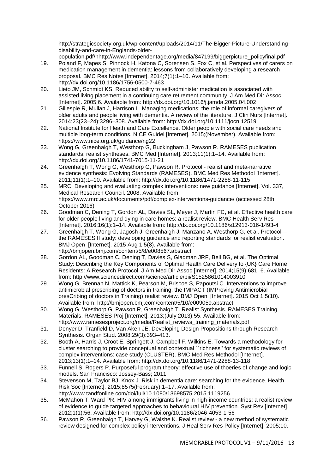http://strategicsociety.org.uk/wp-content/uploads/2014/11/The-Bigger-Picture-Understandingdisability-and-care-in-Englands-older-

population.pdf\nhttp://www.independentage.org/media/847199/biggerpicture\_policyfinal.pdf

- 19. Poland F, Mapes S, Pinnock H, Katona C, Sorensen S, Fox C, et al. Perspectives of carers on medication management in dementia: lessons from collaboratively developing a research proposal. BMC Res Notes [Internet]. 2014;7(1):1–10. Available from: http://dx.doi.org/10.1186/1756-0500-7-463
- 20. Lieto JM, Schmidt KS. Reduced ability to self-administer medication is associated with assisted living placement in a continuing care retirement community. J Am Med Dir Assoc [Internet]. 2005;6. Available from: http://dx.doi.org/10.1016/j.jamda.2005.04.002
- 21. Gillespie R, Mullan J, Harrison L. Managing medications: the role of informal caregivers of older adults and people living with dementia. A review of the literature. J Clin Nurs [Internet]. 2014;23(23–24):3296–308. Available from: http://dx.doi.org/10.1111/jocn.12519
- 22. National Institute for Heath and Care Excellence. Older people with social care needs and multiple long-term conditions. NICE Guidel [Internet]. 2015;(November). Available from: https://www.nice.org.uk/guidance/ng22
- 23. Wong G, Greenhalgh T, Westhorp G, Buckingham J, Pawson R. RAMESES publication standards: realist syntheses. BMC Med [Internet]. 2013;11(1):1–14. Available from: http://dx.doi.org/10.1186/1741-7015-11-21
- 24. Greenhalgh T, Wong G, Westhorp G, Pawson R. Protocol realist and meta-narrative evidence synthesis: Evolving Standards (RAMESES). BMC Med Res Methodol [Internet]. 2011;11(1):1–10. Available from: http://dx.doi.org/10.1186/1471-2288-11-115
- 25. MRC. Developing and evaluating complex interventions: new guidance [Internet]. Vol. 337, Medical Research Council. 2008. Available from: https://www.mrc.ac.uk/documents/pdf/complex-interventions-guidance/ (accessed 28th October 2016)
- 26. Goodman C, Dening T, Gordon AL, Davies SL, Meyer J, Martin FC, et al. Effective health care for older people living and dying in care homes: a realist review. BMC Health Serv Res [Internet]. 2016;16(1):1–14. Available from: http://dx.doi.org/10.1186/s12913-016-1493-4
- 27. Greenhalgh T, Wong G, Jagosh J, Greenhalgh J, Manzano A, Westhorp G, et al. Protocol the RAMESES II study: developing guidance and reporting standards for realist evaluation. BMJ Open [Internet]. 2015 Aug 1;5(8). Available from: http://bmjopen.bmj.com/content/5/8/e008567.abstract
- 28. Gordon AL, Goodman C, Dening T, Davies S, Gladman JRF, Bell BG, et al. The Optimal Study: Describing the Key Components of Optimal Health Care Delivery to {UK} Care Home Residents: A Research Protocol. J Am Med Dir Assoc [Internet]. 2014;15(9):681–6. Available from: http://www.sciencedirect.com/science/article/pii/S1525861014003910
- 29. Wong G, Brennan N, Mattick K, Pearson M, Briscoe S, Papoutsi C. Interventions to improve antimicrobial prescribing of doctors in training: the IMPACT (IMProving Antimicrobial presCribing of doctors in Training) realist review. BMJ Open [Internet]. 2015 Oct 1;5(10). Available from: http://bmjopen.bmj.com/content/5/10/e009059.abstract
- 30. Wong G, Westhorp G, Pawson R, Greenhalgh T. Realist Synthesis. RAMESES Training Materials. RAMESES Proj [Internet]. 2013;(July 2013):55. Available from: http://www.ramesesproject.org/media/Realist\_reviews\_training\_materials.pdf
- 31. Denyer D, Tranfield D, Van Aken JE. Developing Design Propositions through Research Synthesis. Organ Stud. 2008;29(3):393–413.
- 32. Booth A, Harris J, Croot E, Springett J, Campbell F, Wilkins E. Towards a methodology for cluster searching to provide conceptual and contextual ``richness'' for systematic reviews of complex interventions: case study (CLUSTER). BMC Med Res Methodol [Internet]. 2013;13(1):1–14. Available from: http://dx.doi.org/10.1186/1471-2288-13-118
- 33. Funnell S, Rogers P. Purposeful program theory: effective use of thoeries of change and logic models. San Francisco: Jossey-Bass; 2011.
- 34. Stevenson M, Taylor BJ, Knox J. Risk in dementia care: searching for the evidence. Health Risk Soc [Internet]. 2015;8575(February):1–17. Available from: http://www.tandfonline.com/doi/full/10.1080/13698575.2015.1119256
- 35. McMahon T, Ward PR. HIV among immigrants living in high-income countries: a realist review of evidence to guide targeted approaches to behavioural HIV prevention. Syst Rev [Internet]. 2012;1(1):56. Available from: http://dx.doi.org/10.1186/2046-4053-1-56
- 36. Pawson R, Greenhalgh T, Harvey G, Walshe K. Realist review a new method of systematic review designed for complex policy interventions. J Heal Serv Res Policy [Internet]. 2005;10.